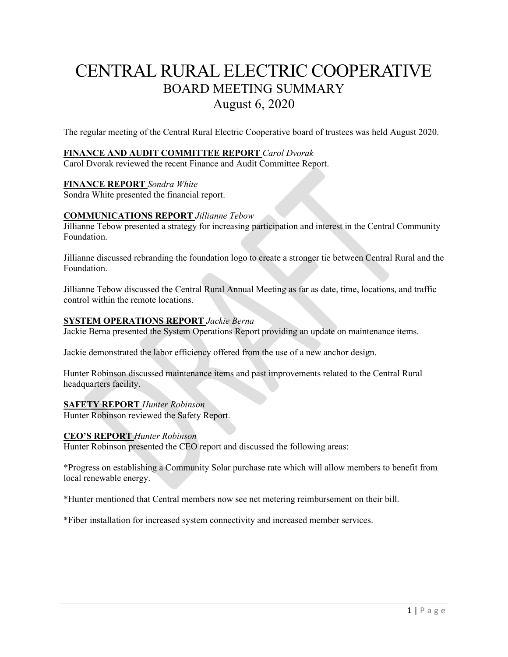# CENTRAL RURAL ELECTRIC COOPERATIVE BOARD MEETING SUMMARY August 6, 2020

The regular meeting of the Central Rural Electric Cooperative board of trustees was held August 2020.

# **FINANCE AND AUDIT COMMITTEE REPORT** *Carol Dvorak*

Carol Dvorak reviewed the recent Finance and Audit Committee Report.

# **FINANCE REPORT** *Sondra White*

Sondra White presented the financial report.

# **COMMUNICATIONS REPORT** *Jillianne Tebow*

Jillianne Tebow presented a strategy for increasing participation and interest in the Central Community Foundation.

Jillianne discussed rebranding the foundation logo to create a stronger tie between Central Rural and the Foundation.

Jillianne Tebow discussed the Central Rural Annual Meeting as far as date, time, locations, and traffic control within the remote locations.

# **SYSTEM OPERATIONS REPORT** *Jackie Berna*

Jackie Berna presented the System Operations Report providing an update on maintenance items.

Jackie demonstrated the labor efficiency offered from the use of a new anchor design.

Hunter Robinson discussed maintenance items and past improvements related to the Central Rural headquarters facility.

# **SAFETY REPORT** *Hunter Robinson*

Hunter Robinson reviewed the Safety Report.

# **CEO'S REPORT** *Hunter Robinson*

Hunter Robinson presented the CEO report and discussed the following areas:

\*Progress on establishing a Community Solar purchase rate which will allow members to benefit from local renewable energy.

\*Hunter mentioned that Central members now see net metering reimbursement on their bill.

\*Fiber installation for increased system connectivity and increased member services.